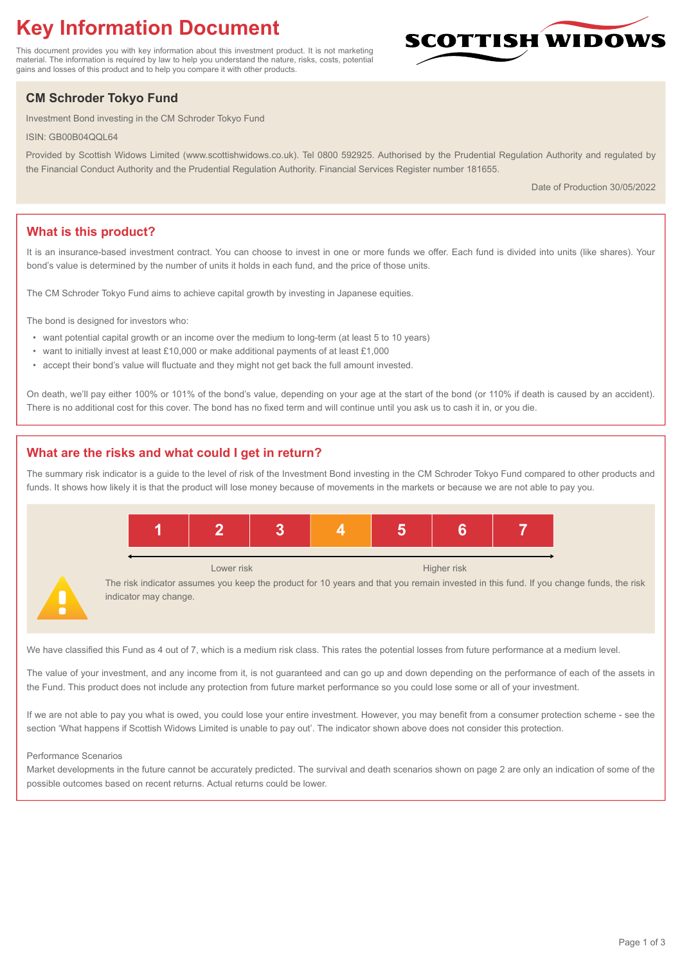# **Key Information Document**

This document provides you with key information about this investment product. It is not marketing material. The information is required by law to help you understand the nature, risks, costs, potential gains and losses of this product and to help you compare it with other products.

## **CM Schroder Tokyo Fund**

Investment Bond investing in the CM Schroder Tokyo Fund

ISIN: GB00B04QQL64

Provided by Scottish Widows Limited (www.scottishwidows.co.uk). Tel 0800 592925. Authorised by the Prudential Regulation Authority and regulated by the Financial Conduct Authority and the Prudential Regulation Authority. Financial Services Register number 181655.

Date of Production 30/05/2022

**SCOTTISH WIDOW** 

## **What is this product?**

It is an insurance-based investment contract. You can choose to invest in one or more funds we offer. Each fund is divided into units (like shares). Your bond's value is determined by the number of units it holds in each fund, and the price of those units.

The CM Schroder Tokyo Fund aims to achieve capital growth by investing in Japanese equities.

The bond is designed for investors who:

- want potential capital growth or an income over the medium to long-term (at least 5 to 10 years)
- want to initially invest at least £10,000 or make additional payments of at least £1,000
- accept their bond's value will fluctuate and they might not get back the full amount invested.

On death, we'll pay either 100% or 101% of the bond's value, depending on your age at the start of the bond (or 110% if death is caused by an accident). There is no additional cost for this cover. The bond has no fixed term and will continue until you ask us to cash it in, or you die.

## **What are the risks and what could I get in return?**

The summary risk indicator is a guide to the level of risk of the Investment Bond investing in the CM Schroder Tokyo Fund compared to other products and funds. It shows how likely it is that the product will lose money because of movements in the markets or because we are not able to pay you.



We have classified this Fund as 4 out of 7, which is a medium risk class. This rates the potential losses from future performance at a medium level.

The value of your investment, and any income from it, is not guaranteed and can go up and down depending on the performance of each of the assets in the Fund. This product does not include any protection from future market performance so you could lose some or all of your investment.

If we are not able to pay you what is owed, you could lose your entire investment. However, you may benefit from a consumer protection scheme - see the section 'What happens if Scottish Widows Limited is unable to pay out'. The indicator shown above does not consider this protection.

#### Performance Scenarios

Market developments in the future cannot be accurately predicted. The survival and death scenarios shown on page 2 are only an indication of some of the possible outcomes based on recent returns. Actual returns could be lower.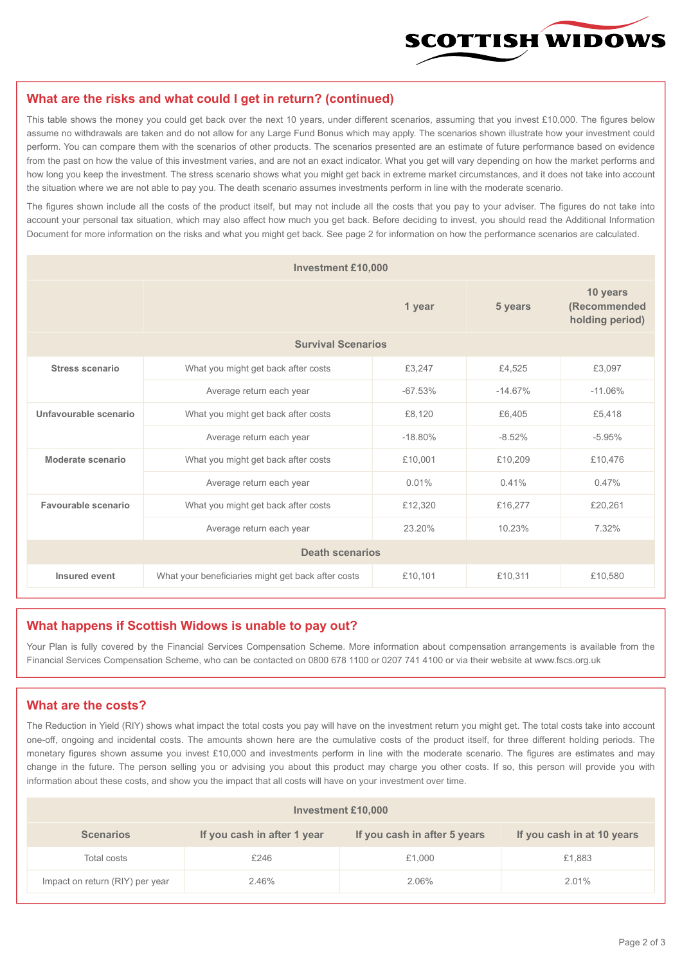

#### **What are the risks and what could I get in return? (continued)**

This table shows the money you could get back over the next 10 years, under different scenarios, assuming that you invest £10,000. The figures below assume no withdrawals are taken and do not allow for any Large Fund Bonus which may apply. The scenarios shown illustrate how your investment could perform. You can compare them with the scenarios of other products. The scenarios presented are an estimate of future performance based on evidence from the past on how the value of this investment varies, and are not an exact indicator. What you get will vary depending on how the market performs and how long you keep the investment. The stress scenario shows what you might get back in extreme market circumstances, and it does not take into account the situation where we are not able to pay you. The death scenario assumes investments perform in line with the moderate scenario.

The figures shown include all the costs of the product itself, but may not include all the costs that you pay to your adviser. The figures do not take into account your personal tax situation, which may also affect how much you get back. Before deciding to invest, you should read the Additional Information Document for more information on the risks and what you might get back. See page 2 for information on how the performance scenarios are calculated.

| <b>Investment £10,000</b> |                                                    |           |           |                                             |  |  |
|---------------------------|----------------------------------------------------|-----------|-----------|---------------------------------------------|--|--|
|                           | 1 year                                             |           | 5 years   | 10 years<br>(Recommended<br>holding period) |  |  |
| <b>Survival Scenarios</b> |                                                    |           |           |                                             |  |  |
| <b>Stress scenario</b>    | What you might get back after costs                | £3,247    | £4,525    | £3,097                                      |  |  |
|                           | Average return each year                           | $-67.53%$ | $-14.67%$ | $-11.06%$                                   |  |  |
| Unfavourable scenario     | What you might get back after costs<br>£8,120      |           | £6,405    | £5,418                                      |  |  |
|                           | Average return each year                           | $-18.80%$ | $-8.52%$  | $-5.95%$                                    |  |  |
| Moderate scenario         | What you might get back after costs                | £10,001   | £10,209   | £10,476                                     |  |  |
|                           | Average return each year                           | 0.01%     | 0.41%     | 0.47%                                       |  |  |
| Favourable scenario       | What you might get back after costs                | £12,320   | £16,277   | £20,261                                     |  |  |
|                           | 23.20%<br>Average return each year                 |           | 10.23%    | 7.32%                                       |  |  |
| <b>Death scenarios</b>    |                                                    |           |           |                                             |  |  |
| Insured event             | What your beneficiaries might get back after costs | £10,101   | £10,311   | £10,580                                     |  |  |

#### **What happens if Scottish Widows is unable to pay out?**

Your Plan is fully covered by the Financial Services Compensation Scheme. More information about compensation arrangements is available from the Financial Services Compensation Scheme, who can be contacted on 0800 678 1100 or 0207 741 4100 or via their website at www.fscs.org.uk

## **What are the costs?**

The Reduction in Yield (RIY) shows what impact the total costs you pay will have on the investment return you might get. The total costs take into account one-off, ongoing and incidental costs. The amounts shown here are the cumulative costs of the product itself, for three different holding periods. The monetary figures shown assume you invest £10,000 and investments perform in line with the moderate scenario. The figures are estimates and may change in the future. The person selling you or advising you about this product may charge you other costs. If so, this person will provide you with information about these costs, and show you the impact that all costs will have on your investment over time.

| Investment £10,000              |                             |                              |                            |  |  |  |
|---------------------------------|-----------------------------|------------------------------|----------------------------|--|--|--|
| <b>Scenarios</b>                | If you cash in after 1 year | If you cash in after 5 years | If you cash in at 10 years |  |  |  |
| Total costs                     | £246                        | £1,000                       | £1,883                     |  |  |  |
| Impact on return (RIY) per year | 2.46%                       | 2.06%                        | 2.01%                      |  |  |  |